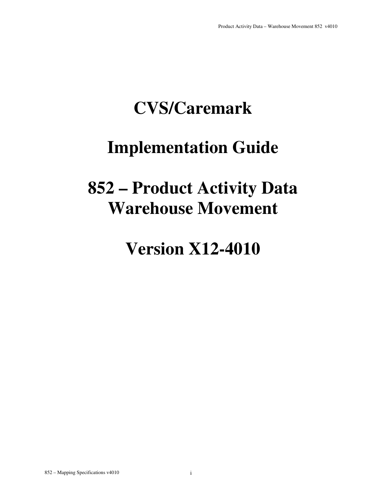### **CVS/Caremark**

### **Implementation Guide**

### **852 – Product Activity Data Warehouse Movement**

### **Version X12-4010**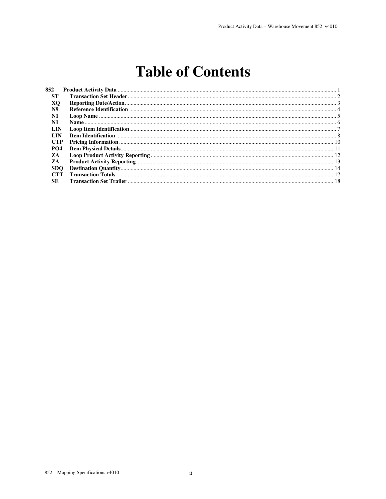### **Table of Contents**

| 852        |  |
|------------|--|
| <b>ST</b>  |  |
| XО         |  |
| N9         |  |
| N1         |  |
| N1         |  |
| LIN        |  |
| LIN        |  |
| <b>CTP</b> |  |
| <b>PO4</b> |  |
| ZA         |  |
| ZA         |  |
| <b>SDO</b> |  |
| <b>CTT</b> |  |
| SE         |  |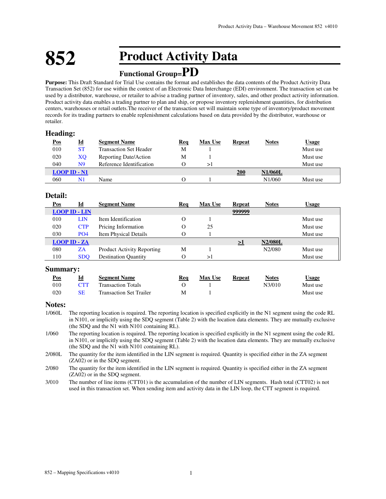### **852 Product Activity Data**

### **Functional Group=PD**

**Purpose:** This Draft Standard for Trial Use contains the format and establishes the data contents of the Product Activity Data Transaction Set (852) for use within the context of an Electronic Data Interchange (EDI) environment. The transaction set can be used by a distributor, warehouse, or retailer to advise a trading partner of inventory, sales, and other product activity information. Product activity data enables a trading partner to plan and ship, or propose inventory replenishment quantities, for distribution centers, warehouses or retail outlets.The receiver of the transaction set will maintain some type of inventory/product movement records for its trading partners to enable replenishment calculations based on data provided by the distributor, warehouse or retailer.

#### **Heading:**

| <u>Pos</u> | <u>Id</u>               | <b>Segment Name</b>           | Req | <b>Max Use</b> | Repeat | <b>Notes</b>   | <u>Usage</u> |
|------------|-------------------------|-------------------------------|-----|----------------|--------|----------------|--------------|
| 010        | ST                      | <b>Transaction Set Header</b> | M   |                |        |                | Must use     |
| 020        | XO                      | Reporting Date/Action         | M   |                |        |                | Must use     |
| 040        | N9                      | Reference Identification      |     | >١             |        |                | Must use     |
|            | $LOOP$ ID $\text{-}$ N1 |                               |     |                | 200    | <b>N1/060L</b> |              |
| 060        | N1                      | Name                          |     |                |        | N1/060         | Must use     |

#### **Detail:**

| Pos | Id                   | <b>Segment Name</b>               | Req | <b>Max Use</b> | <b>Repeat</b> | <b>Notes</b>   | <b>Usage</b> |
|-----|----------------------|-----------------------------------|-----|----------------|---------------|----------------|--------------|
|     | <b>LOOP ID - LIN</b> |                                   |     |                | 999999        |                |              |
| 010 | LIN                  | Item Identification               |     |                |               |                | Must use     |
| 020 | <b>CTP</b>           | Pricing Information               |     | 25             |               |                | Must use     |
| 030 | PO <sub>4</sub>      | <b>Item Physical Details</b>      |     |                |               |                | Must use     |
|     | <b>LOOP ID - ZA</b>  |                                   |     |                | >1            | <b>N2/080L</b> |              |
| 080 | ZA                   | <b>Product Activity Reporting</b> | M   |                |               | N2/080         | Must use     |
| 110 | <b>SDO</b>           | <b>Destination Quantity</b>       |     | >1             |               |                | Must use     |

#### **Summary:**

| <u>Pos</u> |     | <b>Segment Name</b>            | Rea | <b>Max Use</b> | Repeat | <b>Notes</b> | $\cup$ sage |
|------------|-----|--------------------------------|-----|----------------|--------|--------------|-------------|
| 010        | CTT | <b>Transaction Totals</b>      |     |                |        | N3/010       | Must use    |
| 020        | SE  | <b>Transaction Set Trailer</b> | M   |                |        |              | Must use    |

#### **Notes:**

- 1/060L The reporting location is required. The reporting location is specified explicitly in the N1 segment using the code RL in N101, or implicitly using the SDQ segment (Table 2) with the location data elements. They are mutually exclusive (the SDQ and the N1 with N101 containing RL).
- 1/060 The reporting location is required. The reporting location is specified explicitly in the N1 segment using the code RL in N101, or implicitly using the SDQ segment (Table 2) with the location data elements. They are mutually exclusive (the SDQ and the N1 with N101 containing RL).
- 2/080L The quantity for the item identified in the LIN segment is required. Quantity is specified either in the ZA segment (ZA02) or in the SDQ segment.
- 2/080 The quantity for the item identified in the LIN segment is required. Quantity is specified either in the ZA segment (ZA02) or in the SDQ segment.
- 3/010 The number of line items (CTT01) is the accumulation of the number of LIN segments. Hash total (CTT02) is not used in this transaction set. When sending item and activity data in the LIN loop, the CTT segment is required.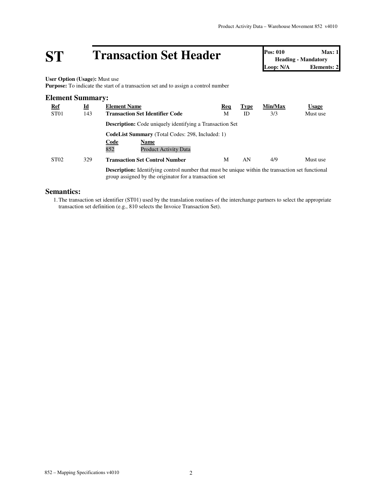# **ST Transaction Set Header Pos: 010 Max: 1**<br> **Pos: 010 Max: 1**<br> **Loop: N/A Elements: 2**

**Heading - Mandatory Elements: 2** 

**User Option (Usage):** Must use

**Purpose:** To indicate the start of a transaction set and to assign a control number

#### **Element Summary: Ref Id Element Name Req Type Min/Max Usage** ST01 143 **Transaction Set Identifier Code** M ID 3/3 Must use **Description:** Code uniquely identifying a Transaction Set **CodeList Summary** (Total Codes: 298, Included: 1) **Code Name** Product Activity Data ST02 329 **Transaction Set Control Number** M AN 4/9 Must use **Description:** Identifying control number that must be unique within the transaction set functional group assigned by the originator for a transaction set

#### **Semantics:**

1.The transaction set identifier (ST01) used by the translation routines of the interchange partners to select the appropriate transaction set definition (e.g., 810 selects the Invoice Transaction Set).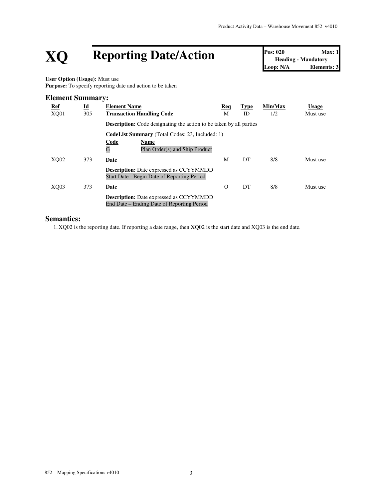# **XQ Reporting Date/Action Pos: 020 Max: 1**<br> **Reporting Date/Action Pos: 020 Max: 1**<br> **Loop: N/A Elements: 3**

**Heading - Mandatory Elements: 3** 

**User Option (Usage):** Must use Purpose: To specify reporting date and action to be taken

#### **Element Summary:**

| Ref<br>XQ01 | $\underline{\mathbf{Id}}$<br>305 | <b>Element Name</b><br><b>Transaction Handling Code</b>                                       | Req<br>М | <b>Type</b><br>ID | Min/Max<br>1/2 | <b>Usage</b><br>Must use |
|-------------|----------------------------------|-----------------------------------------------------------------------------------------------|----------|-------------------|----------------|--------------------------|
|             |                                  | <b>Description:</b> Code designating the action to be taken by all parties                    |          |                   |                |                          |
|             |                                  | <b>CodeList Summary</b> (Total Codes: 23, Included: 1)                                        |          |                   |                |                          |
|             |                                  | <b>Code</b><br>Name<br>G<br>Plan Order(s) and Ship Product                                    |          |                   |                |                          |
| XO02        | 373                              | Date                                                                                          | М        | DT                | 8/8            | Must use                 |
|             |                                  | <b>Description:</b> Date expressed as CCYYMMDD<br>Start Date - Begin Date of Reporting Period |          |                   |                |                          |
| XO03        | 373                              | Date                                                                                          | $\Omega$ | DT                | 8/8            | Must use                 |
|             |                                  | <b>Description:</b> Date expressed as CCYYMMDD<br>End Date – Ending Date of Reporting Period  |          |                   |                |                          |

#### **Semantics:**

1. XQ02 is the reporting date. If reporting a date range, then XQ02 is the start date and XQ03 is the end date.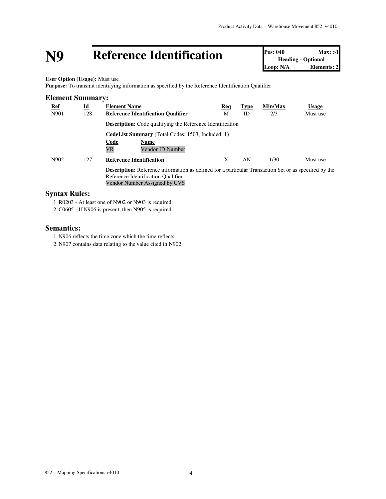# **N9 Reference Identification Pos: 040 Max: >1**<br> **Loop: N/A Elements: 2**<br> **Loop: N/A Elements: 2**

**Heading - Optional Elements: 2** 

**User Option (Usage):** Must use

**Purpose:** To transmit identifying information as specified by the Reference Identification Qualifier

| <b>Element Summary:</b> |                                  |                                                                                                                                                                                     |          |                   |                |                          |
|-------------------------|----------------------------------|-------------------------------------------------------------------------------------------------------------------------------------------------------------------------------------|----------|-------------------|----------------|--------------------------|
| <u>Ref</u><br>N901      | $\underline{\mathbf{Id}}$<br>128 | <b>Element Name</b><br><b>Reference Identification Qualifier</b>                                                                                                                    | Req<br>M | <b>Type</b><br>ID | Min/Max<br>2/3 | <b>Usage</b><br>Must use |
|                         |                                  | <b>Description:</b> Code qualifying the Reference Identification                                                                                                                    |          |                   |                |                          |
|                         |                                  | <b>CodeList Summary</b> (Total Codes: 1503, Included: 1)<br><b>Code</b><br><b>Name</b><br><b>VR</b><br>Vendor ID Number                                                             |          |                   |                |                          |
| N902                    | 127                              | <b>Reference Identification</b>                                                                                                                                                     | X        | AN                | 1/30           | Must use                 |
|                         |                                  | <b>Description:</b> Reference information as defined for a particular Transaction Set or as specified by the<br>Reference Identification Qualifier<br>Vendor Number Assigned by CVS |          |                   |                |                          |

#### **Syntax Rules:**

1.R0203 - At least one of N902 or N903 is required.

2.C0605 - If N906 is present, then N905 is required.

#### **Semantics:**

1. N906 reflects the time zone which the time reflects.

2. N907 contains data relating to the value cited in N902.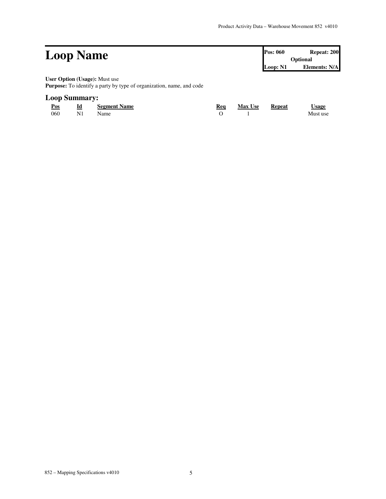| <b>Loop Name</b>                     | <b>Pos: 060</b> | Repeat: 200   |
|--------------------------------------|-----------------|---------------|
|                                      |                 | Optional      |
|                                      | Loop: N1        | Elements: N/A |
| <b>User Option (Usage):</b> Must use |                 |               |

**Purpose:** To identify a party by type of organization, name, and code

#### **Loop Summary:**

| Pos | Id | <b>Segment Name</b> | Rea | <b>Max Use</b> | Repeat | <u> Usage</u> |
|-----|----|---------------------|-----|----------------|--------|---------------|
| 060 | N. | Name                |     |                |        | Must use      |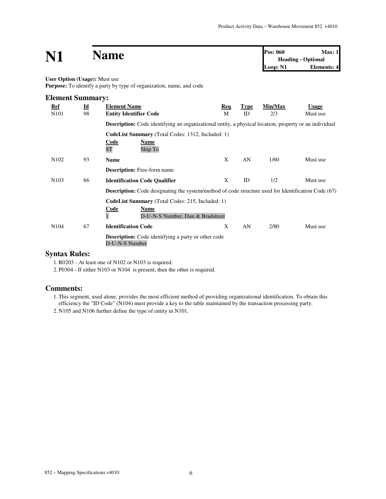### **N1 Name Pos:**  $060$  **Max:** 1<br>**Heading - Optional**

**Heading - Optional Loop: N1 Elements: 4**

#### **User Option (Usage):** Must use

**Purpose:** To identify a party by type of organization, name, and code

| <b>Element Summary:</b> |                           |                                                                                                               |            |             |         |              |
|-------------------------|---------------------------|---------------------------------------------------------------------------------------------------------------|------------|-------------|---------|--------------|
| <b>Ref</b>              | $\underline{\mathbf{Id}}$ | <b>Element Name</b>                                                                                           | <b>Req</b> | <b>Type</b> | Min/Max | <b>Usage</b> |
| N <sub>10</sub> 1       | 98                        | <b>Entity Identifier Code</b>                                                                                 | M          | ID          | 2/3     | Must use     |
|                         |                           | <b>Description:</b> Code identifying an organizational entity, a physical location, property or an individual |            |             |         |              |
|                         |                           | <b>CodeList Summary</b> (Total Codes: 1312, Included: 1)                                                      |            |             |         |              |
|                         |                           | <b>Code</b><br><u>Name</u>                                                                                    |            |             |         |              |
|                         |                           | <b>ST</b><br>Ship To                                                                                          |            |             |         |              |
| N <sub>102</sub>        | 93                        | <b>Name</b>                                                                                                   | X          | AN          | 1/60    | Must use     |
|                         |                           | <b>Description:</b> Free-form name                                                                            |            |             |         |              |
| N <sub>10</sub> 3       | 66                        | <b>Identification Code Qualifier</b>                                                                          | X          | ID          | 1/2     | Must use     |
|                         |                           | <b>Description:</b> Code designating the system/method of code structure used for Identification Code (67)    |            |             |         |              |
|                         |                           | <b>CodeList Summary</b> (Total Codes: 215, Included: 1)                                                       |            |             |         |              |
|                         |                           | Code<br>Name                                                                                                  |            |             |         |              |
|                         |                           | D-U-N-S Number, Dun & Bradstreet                                                                              |            |             |         |              |
| N <sub>104</sub>        | 67                        | <b>Identification Code</b>                                                                                    | X          | AN          | 2/80    | Must use     |
|                         |                           | <b>Description:</b> Code identifying a party or other code<br>D-U-N-S Number                                  |            |             |         |              |
|                         | $\mathbf{r}$              |                                                                                                               |            |             |         |              |

#### **Syntax Rules:**

1.R0203 - At least one of N102 or N103 is required.

2. P0304 - If either N103 or N104 is present, then the other is required.

#### **Comments:**

1.This segment, used alone, provides the most efficient method of providing organizational identification. To obtain this efficiency the "ID Code" (N104) must provide a key to the table maintained by the transaction processing party.

2. N105 and N106 further define the type of entity in N101.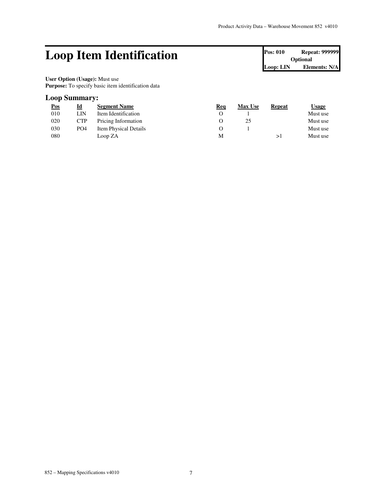### Loop Item Identification **Pos: 010 Repeat: 999999**

**Optional Loop: LIN Elements: N/A**

**User Option (Usage):** Must use Purpose: To specify basic item identification data

#### **Loop Summary:**

| $\underline{\text{Pos}}$ | <u>Id</u>       | <b>Segment Name</b>   | Req | <b>Max Use</b> | Repeat | <b>Usage</b> |
|--------------------------|-----------------|-----------------------|-----|----------------|--------|--------------|
| 010                      | LIN             | Item Identification   |     |                |        | Must use     |
| 020                      | <b>CTP</b>      | Pricing Information   |     | 25             |        | Must use     |
| 030                      | PO <sub>4</sub> | Item Physical Details |     |                |        | Must use     |
| 080                      |                 | Loop ZA               | М   |                |        | Must use     |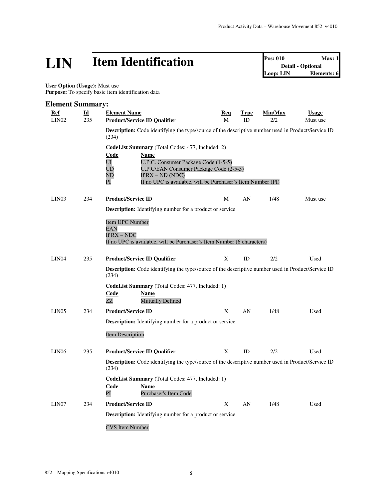# **LIN Item Identification Pos: 010 Max: 1**<br> **Detail - Optional**<br> **Loop: LIN Elements: 6**

**Detail - Optional Linuxer Elements: 6** 

 **User Option (Usage):** Must use Purpose: To specify basic item identification data

#### **Element Summary:**

| Ref<br>LIN <sub>02</sub> | Id<br>235 | <b>Element Name</b><br><b>Product/Service ID Qualifier</b>                                                                                                                                                                                                                      | Req<br>M | <u>Type</u><br>ID | Min/Max<br>2/2 | <b>Usage</b><br>Must use |
|--------------------------|-----------|---------------------------------------------------------------------------------------------------------------------------------------------------------------------------------------------------------------------------------------------------------------------------------|----------|-------------------|----------------|--------------------------|
|                          |           | <b>Description:</b> Code identifying the type/source of the descriptive number used in Product/Service ID<br>(234)                                                                                                                                                              |          |                   |                |                          |
|                          |           | <b>CodeList Summary</b> (Total Codes: 477, Included: 2)<br>Code<br><b>Name</b><br>UI<br>U.P.C. Consumer Package Code (1-5-5)<br>UD<br>U.P.C/EAN Consumer Package Code (2-5-5)<br>ND<br>If $RX - ND$ (NDC)<br>If no UPC is available, will be Purchaser's Item Number (PI)<br>PI |          |                   |                |                          |
| LIN03                    | 234       | <b>Product/Service ID</b>                                                                                                                                                                                                                                                       | M        | AN                | 1/48           | Must use                 |
|                          |           | <b>Description:</b> Identifying number for a product or service<br>Item UPC Number<br><b>EAN</b><br>If RX – NDC<br>If no UPC is available, will be Purchaser's Item Number (6 characters)                                                                                       |          |                   |                |                          |
| LIN <sub>04</sub>        | 235       | <b>Product/Service ID Qualifier</b>                                                                                                                                                                                                                                             | X        | ID                | 2/2            | Used                     |
|                          |           | <b>Description:</b> Code identifying the type/source of the descriptive number used in Product/Service ID<br>(234)<br><b>CodeList Summary</b> (Total Codes: 477, Included: 1)<br>Code<br>Name                                                                                   |          |                   |                |                          |
|                          |           | ZΖ<br><b>Mutually Defined</b>                                                                                                                                                                                                                                                   |          |                   |                |                          |
| LIN05                    | 234       | <b>Product/Service ID</b>                                                                                                                                                                                                                                                       | X        | AN                | 1/48           | Used                     |
|                          |           | <b>Description:</b> Identifying number for a product or service<br><b>Item Description</b>                                                                                                                                                                                      |          |                   |                |                          |
| LIN <sub>06</sub>        | 235       | <b>Product/Service ID Qualifier</b>                                                                                                                                                                                                                                             | X        | ID                | 2/2            | Used                     |
|                          |           | <b>Description:</b> Code identifying the type/source of the descriptive number used in Product/Service ID<br>(234)                                                                                                                                                              |          |                   |                |                          |
|                          |           | <b>CodeList Summary</b> (Total Codes: 477, Included: 1)<br>Code<br>Name<br>PI<br>Purchaser's Item Code                                                                                                                                                                          |          |                   |                |                          |
| LIN07                    | 234       | <b>Product/Service ID</b>                                                                                                                                                                                                                                                       | X        | AN                | 1/48           | Used                     |
|                          |           | <b>Description:</b> Identifying number for a product or service                                                                                                                                                                                                                 |          |                   |                |                          |
|                          |           | <b>CVS</b> Item Number                                                                                                                                                                                                                                                          |          |                   |                |                          |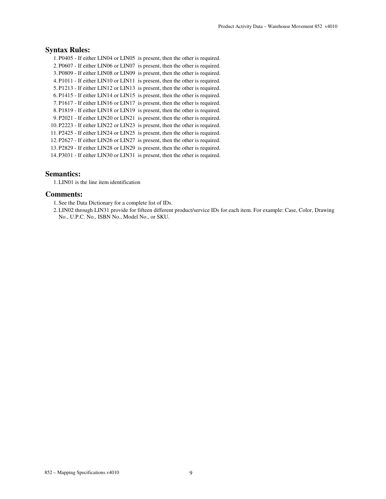#### **Syntax Rules:**

1. P0405 - If either LIN04 or LIN05 is present, then the other is required. 2. P0607 - If either LIN06 or LIN07 is present, then the other is required. 3. P0809 - If either LIN08 or LIN09 is present, then the other is required. 4. P1011 - If either LIN10 or LIN11 is present, then the other is required. 5. P1213 - If either LIN12 or LIN13 is present, then the other is required. 6. P1415 - If either LIN14 or LIN15 is present, then the other is required. 7. P1617 - If either LIN16 or LIN17 is present, then the other is required. 8. P1819 - If either LIN18 or LIN19 is present, then the other is required. 9. P2021 - If either LIN20 or LIN21 is present, then the other is required. 10. P2223 - If either LIN22 or LIN23 is present, then the other is required. 11. P2425 - If either LIN24 or LIN25 is present, then the other is required. 12. P2627 - If either LIN26 or LIN27 is present, then the other is required. 13. P2829 - If either LIN28 or LIN29 is present, then the other is required. 14. P3031 - If either LIN30 or LIN31 is present, then the other is required.

#### **Semantics:**

1.LIN01 is the line item identification

#### **Comments:**

1. See the Data Dictionary for a complete list of IDs.

2.LIN02 through LIN31 provide for fifteen different product/service IDs for each item. For example: Case, Color, Drawing No., U.P.C. No., ISBN No., Model No., or SKU.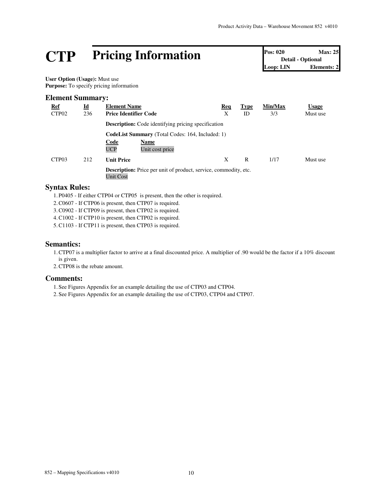## **CTP Pricing Information Pos: 020 Max: 25**<br> **Pos: 020 Max: 25**<br> **Detail - Optional**<br> **Loop: LIN Elements: 2**

**Detail - Optional** Loop: LIN

**User Option (Usage):** Must use **Purpose:** To specify pricing information

#### **Element Summary:**

| <b>Ref</b><br>CTP <sub>02</sub> | $\underline{\mathbf{Id}}$<br>236 | <b>Element Name</b><br><b>Price Identifier Code</b>                                                      | Req<br>Χ | <b>Type</b><br>ID | Min/Max<br>3/3 | <b>Usage</b><br>Must use |
|---------------------------------|----------------------------------|----------------------------------------------------------------------------------------------------------|----------|-------------------|----------------|--------------------------|
|                                 |                                  | <b>Description:</b> Code identifying pricing specification                                               |          |                   |                |                          |
|                                 |                                  | <b>CodeList Summary</b> (Total Codes: 164, Included: 1)<br>Code<br>Name<br><b>UCP</b><br>Unit cost price |          |                   |                |                          |
| CTP <sub>03</sub>               | 212                              | <b>Unit Price</b>                                                                                        | X        | R                 | 1/17           | Must use                 |
|                                 |                                  | <b>Description:</b> Price per unit of product, service, commodity, etc.<br><b>Unit Cost</b>              |          |                   |                |                          |

#### **Syntax Rules:**

1. P0405 - If either CTP04 or CTP05 is present, then the other is required.

2.C0607 - If CTP06 is present, then CTP07 is required.

3.C0902 - If CTP09 is present, then CTP02 is required.

4.C1002 - If CTP10 is present, then CTP02 is required.

5.C1103 - If CTP11 is present, then CTP03 is required.

#### **Semantics:**

1.CTP07 is a multiplier factor to arrive at a final discounted price. A multiplier of .90 would be the factor if a 10% discount is given.

2.CTP08 is the rebate amount.

#### **Comments:**

1. See Figures Appendix for an example detailing the use of CTP03 and CTP04.

2. See Figures Appendix for an example detailing the use of CTP03, CTP04 and CTP07.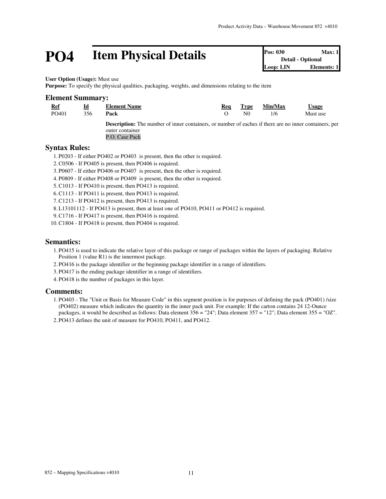### **PO4 Item Physical Details Pos: 030 Max: 1 Detail - Optional Loop: LIN Elements: 1**

**Detail - Optional Loop:** LIN

**User Option (Usage):** Must use

**Purpose:** To specify the physical qualities, packaging, weights, and dimensions relating to the item

#### **Element Summary:**

|--|

| Id<br>__ | <b>Element Name</b> | Rea | $T$ vpe | Min/Max | <b>Jsage</b> |
|----------|---------------------|-----|---------|---------|--------------|
| 356      | Pack                |     |         |         | Must us      |

PO401 356 **Pack** O N0 1/6 Must use

**Description:** The number of inner containers, or number of eaches if there are no inner containers, per outer container P.O. Case Pack

#### **Syntax Rules:**

1. P0203 - If either PO402 or PO403 is present, then the other is required.

- 2.C0506 If PO405 is present, then PO406 is required.
- 3. P0607 If either PO406 or PO407 is present, then the other is required.
- 4. P0809 If either PO408 or PO409 is present, then the other is required.
- 5.C1013 If PO410 is present, then PO413 is required.
- 6.C1113 If PO411 is present, then PO413 is required.
- 7.C1213 If PO412 is present, then PO413 is required.
- 8.L13101112 If PO413 is present, then at least one of PO410, PO411 or PO412 is required.
- 9.C1716 If PO417 is present, then PO416 is required.
- 10.C1804 If PO418 is present, then PO404 is required.

#### **Semantics:**

- 1. PO415 is used to indicate the relative layer of this package or range of packages within the layers of packaging. Relative Position 1 (value R1) is the innermost package.
- 2. PO416 is the package identifier or the beginning package identifier in a range of identifiers.
- 3. PO417 is the ending package identifier in a range of identifiers.
- 4. PO418 is the number of packages in this layer.

#### **Comments:**

1. PO403 - The "Unit or Basis for Measure Code" in this segment position is for purposes of defining the pack (PO401) /size (PO402) measure which indicates the quantity in the inner pack unit. For example: If the carton contains 24 12-Ounce packages, it would be described as follows: Data element 356 = "24"; Data element 357 = "12"; Data element 355 = "OZ".

2. PO413 defines the unit of measure for PO410, PO411, and PO412.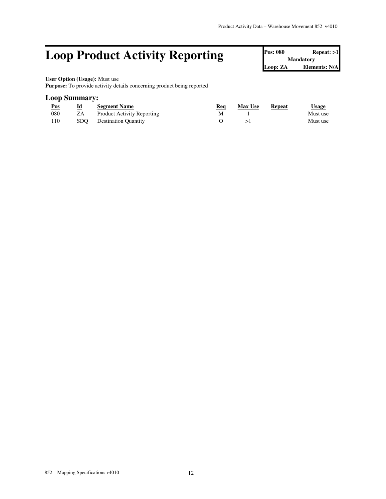### **Loop Product Activity Reporting**

| <b>Pos: 080</b>  | Repest: >1    |  |  |  |  |  |
|------------------|---------------|--|--|--|--|--|
| <b>Mandatory</b> |               |  |  |  |  |  |
| Loop: ZA         | Elements: N/A |  |  |  |  |  |

### **User Option (Usage):** Must use

**Purpose:** To provide activity details concerning product being reported

#### **Loop Summary:**

| Pos | Id | <b>Segment Name</b>               | Rea | <b>Max Use</b> | Repeat | <u>Usage</u> |
|-----|----|-----------------------------------|-----|----------------|--------|--------------|
| 080 | ZΑ | <b>Product Activity Reporting</b> |     |                |        | Must use     |
| 110 |    | SDO Destination Quantity          |     |                |        | Must use     |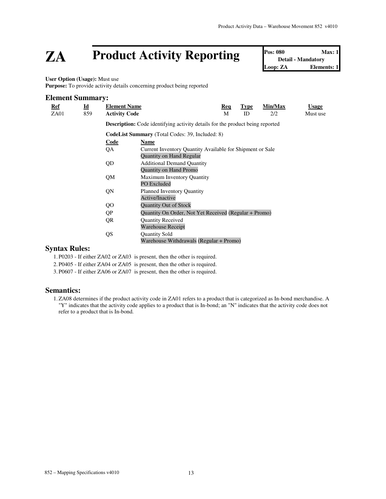### **ZA** Product Activity Reporting

| Pos: 080 | Max: 1                    |
|----------|---------------------------|
|          | <b>Detail - Mandatory</b> |
| Loop: ZA | <b>Elements: 1</b>        |

**User Option (Usage):** Must use

**Purpose:** To provide activity details concerning product being reported

#### **Element Summary: Ref Id Element Name Req Type Min/Max Usage** ZA01 859 **Activity Code** M ID 2/2 Must use **Description:** Code identifying activity details for the product being reported **CodeList Summary** (Total Codes: 39, Included: 8) **Code Name** QA Current Inventory Quantity Available for Shipment or Sale Quantity on Hand Regular QD Additional Demand Quantity Quantity on Hand Promo QM Maximum Inventory Quantity PO Excluded QN Planned Inventory Quantity Active/Inactive QO Quantity Out of Stock QP Quantity On Order, Not Yet Received (Regular + Promo) QR Quantity Received Warehouse Receipt QS Quantity Sold Warehouse Withdrawals (Regular + Promo)

#### **Syntax Rules:**

1. P0203 - If either ZA02 or ZA03 is present, then the other is required.

2. P0405 - If either ZA04 or ZA05 is present, then the other is required.

3. P0607 - If either ZA06 or ZA07 is present, then the other is required.

#### **Semantics:**

1.ZA08 determines if the product activity code in ZA01 refers to a product that is categorized as In-bond merchandise. A "Y" indicates that the activity code applies to a product that is In-bond; an "N" indicates that the activity code does not refer to a product that is In-bond.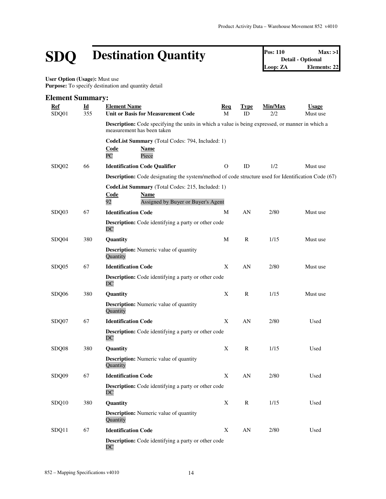# **SDQ Destination Quantity Pos: 110 Max: >1**<br> **Destination Quantity Pos: 110 Detail Detail Detail Detail Detail Detail Elements: 22**

**Detail - Optional Loop: ZA Elements: 22**

**User Option (Usage):** Must use Purpose: To specify destination and quantity detail

#### **Element Summary: Ref Id Element Name Req Type Min/Max Usage** SDQ01 355 **Unit or Basis for Measurement Code** M ID 2/2 Must use **Description:** Code specifying the units in which a value is being expressed, or manner in which a measurement has been taken **CodeList Summary** (Total Codes: 794, Included: 1) **Code Name** PC Piece SDQ02 66 **Identification Code Qualifier** 0 ID 1/2 Must use **Description:** Code designating the system/method of code structure used for Identification Code (67) **CodeList Summary** (Total Codes: 215, Included: 1) **Code Name** 92 Assigned by Buyer or Buyer's Agent SDQ03 67 **Identification Code** M AN 2/80 Must use **Description:** Code identifying a party or other code DC SDQ04 380 **Quantity** M R 1/15 Must use **Description:** Numeric value of quantity **Quantity** SDQ05 67 **Identification Code** X AN 2/80 Must use **Description:** Code identifying a party or other code DC SDQ06 380 **Quantity** X R 1/15 Must use **Description:** Numeric value of quantity **Quantity** SDQ07 67 **Identification Code** X AN 2/80 Used **Description:** Code identifying a party or other code DC SDQ08 380 **Quantity** X R 1/15 Used **Description:** Numeric value of quantity **Quantity** SDQ09 67 **Identification Code** X AN 2/80 Used **Description:** Code identifying a party or other code DC SDQ10 380 **Quantity** X R 1/15 Used **Description:** Numeric value of quantity **Quantity** SDQ11 67 **Identification Code** X AN 2/80 Used **Description:** Code identifying a party or other code DC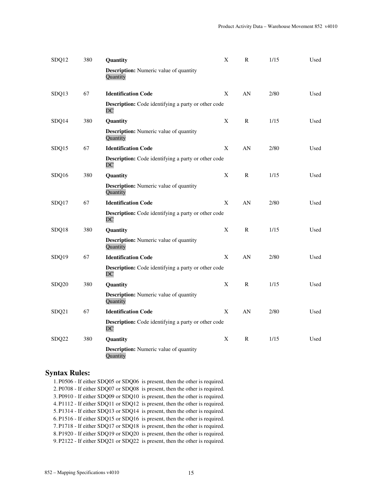| SDQ12 | 380 | Quantity                                                         | Χ | R            | 1/15 | Used |
|-------|-----|------------------------------------------------------------------|---|--------------|------|------|
|       |     | Description: Numeric value of quantity<br>Quantity               |   |              |      |      |
| SDQ13 | 67  | <b>Identification Code</b>                                       | X | AN           | 2/80 | Used |
|       |     | <b>Description:</b> Code identifying a party or other code<br>DC |   |              |      |      |
| SDQ14 | 380 | Quantity                                                         | X | $\mathbb{R}$ | 1/15 | Used |
|       |     | <b>Description:</b> Numeric value of quantity<br>Quantity        |   |              |      |      |
| SDQ15 | 67  | <b>Identification Code</b>                                       | X | AN           | 2/80 | Used |
|       |     | <b>Description:</b> Code identifying a party or other code<br>DC |   |              |      |      |
| SDQ16 | 380 | Quantity                                                         | X | $\mathbb{R}$ | 1/15 | Used |
|       |     | <b>Description:</b> Numeric value of quantity<br>Quantity        |   |              |      |      |
| SDQ17 | 67  | <b>Identification Code</b>                                       | X | AN           | 2/80 | Used |
|       |     | <b>Description:</b> Code identifying a party or other code<br>DC |   |              |      |      |
| SDQ18 | 380 | Quantity                                                         | X | $\mathsf{R}$ | 1/15 | Used |
|       |     | <b>Description:</b> Numeric value of quantity<br>Quantity        |   |              |      |      |
| SDQ19 | 67  | <b>Identification Code</b>                                       | X | AN           | 2/80 | Used |
|       |     | <b>Description:</b> Code identifying a party or other code<br>DC |   |              |      |      |
| SDQ20 | 380 | <b>Quantity</b>                                                  | X | R            | 1/15 | Used |
|       |     | <b>Description:</b> Numeric value of quantity<br>Quantity        |   |              |      |      |
| SDQ21 | 67  | <b>Identification Code</b>                                       | X | AN           | 2/80 | Used |
|       |     | Description: Code identifying a party or other code<br>DC        |   |              |      |      |
| SDQ22 | 380 | Quantity                                                         | X | $\mathbb{R}$ | 1/15 | Used |
|       |     | <b>Description:</b> Numeric value of quantity<br>Quantity        |   |              |      |      |

#### **Syntax Rules:**

1. P0506 - If either SDQ05 or SDQ06 is present, then the other is required. 2. P0708 - If either SDQ07 or SDQ08 is present, then the other is required. 3. P0910 - If either SDQ09 or SDQ10 is present, then the other is required. 4. P1112 - If either SDQ11 or SDQ12 is present, then the other is required. 5. P1314 - If either SDQ13 or SDQ14 is present, then the other is required. 6. P1516 - If either SDQ15 or SDQ16 is present, then the other is required. 7. P1718 - If either SDQ17 or SDQ18 is present, then the other is required. 8. P1920 - If either SDQ19 or SDQ20 is present, then the other is required. 9. P2122 - If either SDQ21 or SDQ22 is present, then the other is required.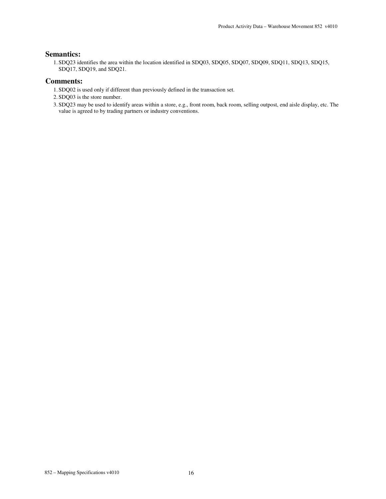#### **Semantics:**

1. SDQ23 identifies the area within the location identified in SDQ03, SDQ05, SDQ07, SDQ09, SDQ11, SDQ13, SDQ15, SDQ17, SDQ19, and SDQ21.

#### **Comments:**

- 1. SDQ02 is used only if different than previously defined in the transaction set.
- 2. SDQ03 is the store number.
- 3. SDQ23 may be used to identify areas within a store, e.g., front room, back room, selling outpost, end aisle display, etc. The value is agreed to by trading partners or industry conventions.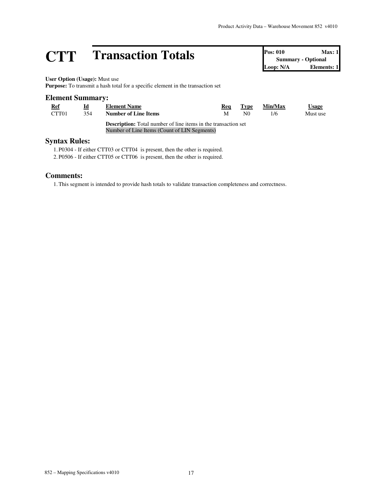# **CTT Transaction Totals Pos: 010 Max: 1**<br> **Pos: 010 Max: 1**<br> **CODER**<br> **Elements: 1**<br> **CODER**<br> **Elements: 1**

**Summary - Optional Elements: 1** 

#### **User Option (Usage):** Must use

**Purpose:** To transmit a hash total for a specific element in the transaction set

#### **Element Summary: Ref Id Element Name Req Type Min/Max Usage** CTT01 354 **Number of Line Items** M N0 1/6 Must use **Description:** Total number of line items in the transaction set Number of Line Items (Count of LIN Segments)

#### **Syntax Rules:**

1. P0304 - If either CTT03 or CTT04 is present, then the other is required.

2. P0506 - If either CTT05 or CTT06 is present, then the other is required.

#### **Comments:**

1.This segment is intended to provide hash totals to validate transaction completeness and correctness.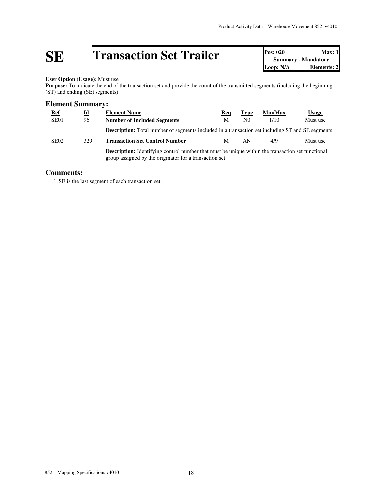# **SE Transaction Set Trailer Pos: 020 Max: 1**<br> **Doop: N/A Pos: 020 Max: 1**<br> **Loop: N/A Elements: 2**

**Summary - Mandatory Elements: 2** 

#### **User Option (Usage):** Must use

Purpose: To indicate the end of the transaction set and provide the count of the transmitted segments (including the beginning (ST) and ending (SE) segments)

#### **Element Summary:**

| <b>Ref</b>       | $\underline{\mathbf{Id}}$ | <b>Element Name</b>                                                                                                                                                | Req | <b>Type</b>    | Min/Max | Usage    |  |  |
|------------------|---------------------------|--------------------------------------------------------------------------------------------------------------------------------------------------------------------|-----|----------------|---------|----------|--|--|
| SE <sub>01</sub> | 96                        | <b>Number of Included Segments</b>                                                                                                                                 | M   | N <sub>0</sub> | 1/10    | Must use |  |  |
|                  |                           | <b>Description:</b> Total number of segments included in a transaction set including ST and SE segments                                                            |     |                |         |          |  |  |
| SE <sub>02</sub> | 329                       | <b>Transaction Set Control Number</b>                                                                                                                              | M   | AN             | 4/9     | Must use |  |  |
|                  |                           | <b>Description:</b> Identifying control number that must be unique within the transaction set functional<br>group assigned by the originator for a transaction set |     |                |         |          |  |  |

#### **Comments:**

1. SE is the last segment of each transaction set.